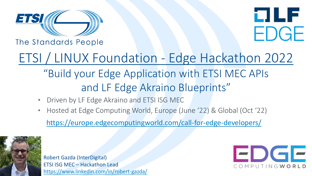



The Standards People

# ETSI / LINUX Foundation - Edge Hackathon 2022 "Build your Edge Application with ETSI MEC APIs

## and LF Edge Akraino Blueprints"

- Driven by LF Edge Akraino and ETSI ISG MEC
- Hosted at Edge Computing World, Europe (June '22) & Global (Oct '22)

<https://europe.edgecomputingworld.com/call-for-edge-developers/>



Robert Gazda (InterDigital) ETSI ISG MEC – Hackathon Lead <https://www.linkedin.com/in/robert-gazda/>

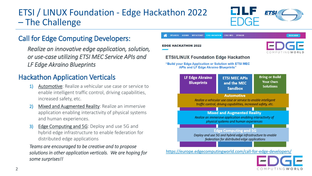## ETSI / LINUX Foundation - Edge Hackathon 2022 – The Challenge

**ETSI** 

#### Call for Edge Computing Developers:

*Realize an innovative edge application, solution, or use-case utilizing ETSI MEC Service APIs and LF Edge Akraino Blueprints*

#### Hackathon Application Verticals

- 1) Automotive: Realize a vehicular use case or service to enable intelligent traffic control, driving capabilities, increased safety, etc.
- 2) Mixed and Augmented Reality: Realize an immersive application enabling interactivity of physical systems and human experiences.
- 3) Edge Computing and 5G: Deploy and use 5G and hybrid edge infrastructure to enable federation for distributed edge applications

*Teams are encouraged to be creative and to propose solutions in other application verticals. We are hoping for some surprises!!*

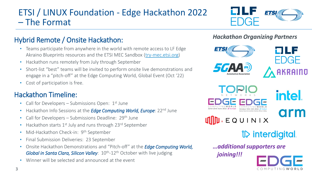## ETSI / LINUX Foundation - Edge Hackathon 2022 – The Format



#### Hybrid Remote / Onsite Hackathon:

- Teams participate from anywhere in the world with remote access to LF Edge Akraino Blueprints resources and the ETSI MEC Sandbox [\(try-mec.etsi.org](https://try-mec.etsi.org/))
- Hackathon runs remotely from July through September
- Short-list "best" teams will be invited to perform onsite live demonstrations and engage in a "pitch-off" at the Edge Computing World, Global Event (Oct '22)
- Cost of participation is free.

#### Hackathon Timeline:

- Call for Developers Submissions Open:  $1<sup>st</sup>$  June
- Hackathon Info Sessions at the *Edge Computing World, Europe*: 22<sup>nd</sup> June
- Call for Developers Submissions Deadline:  $29<sup>th</sup>$  June
- Hackathon starts 1<sup>st</sup> July and runs through 23<sup>rd</sup> September
- Mid-Hackathon Check-in: 9<sup>th</sup> September
- Final Submission Deliveries: 23 September
- Onsite Hackathon Demonstrations and "Pitch-off" at the *Edge Computing World,*  Global in Santa Clara, Silicon Valley: 10<sup>th</sup>-12<sup>th</sup> October with live judging
- Winner will be selected and announced at the event







intel. arm

 $\mathbf{U}$   $\mathbf{D}$   $\in$  QUINIX

*V* interdigital

*…additional supporters are* 

*joining!!!*

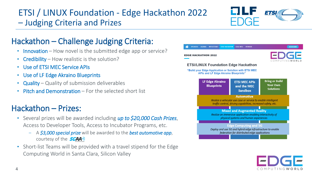## ETSI / LINUX Foundation - Edge Hackathon 2022 – Judging Criteria and Prizes



### Hackathon – Challenge Judging Criteria:

- Innovation How novel is the submitted edge app or service?
- Credibility How realistic is the solution?
- Use of ETSI MEC Service APIs
- Use of LF Edge Akraino Blueprints
- Quality Quality of submission deliverables
- Pitch and Demonstration For the selected short list

## Hackathon – Prizes:

- Several prizes will be awarded including *up to \$20,000 Cash Prizes*, Access to Developer Tools, Access to Incubator Programs, etc.
	- A *\$3,000 special prize* will be awarded to the *best automotive app*, courtesy of the **5GAA**
- Short-list Teams will be provided with a travel stipend for the Edge Computing World in Santa Clara, Silicon Valley



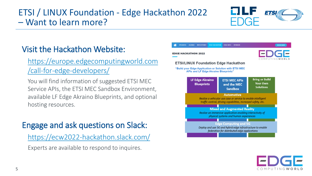## ETSI / LINUX Foundation - Edge Hackathon 2022 – Want to learn more?



## Visit the Hackathon Website:

#### [https://europe.edgecomputingworld.com](https://europe.edgecomputingworld.com/call-for-edge-developers/) /call-for-edge-developers/

You will find information of suggested ETSI MEC Service APIs, the ETSI MEC Sandbox Environment, available LF Edge Akraino Blueprints, and optional hosting resources.

## Engage and ask questions on Slack:

<https://ecw2022-hackathon.slack.com/>

Experts are available to respond to inquires.